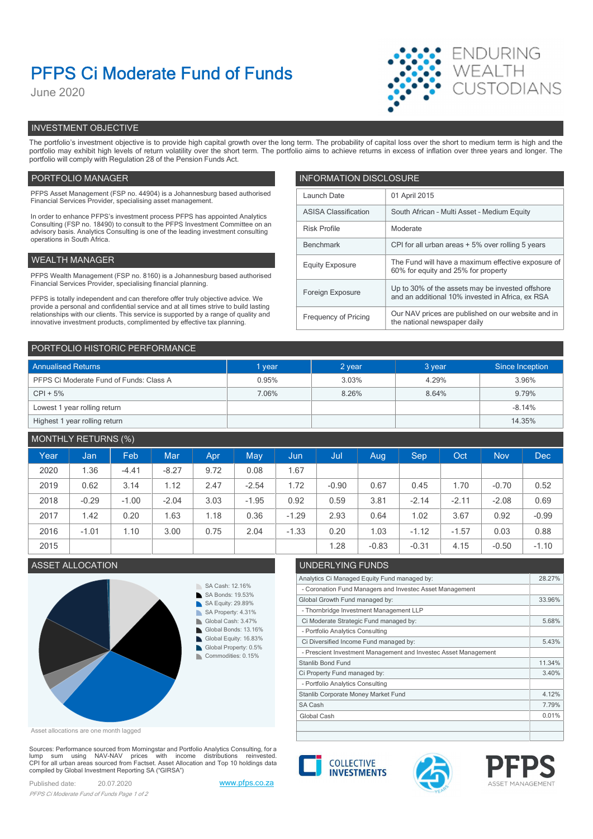# PFPS Ci Moderate Fund of Funds

June 2020



# INVESTMENT OBJECTIVE

The portfolio's investment objective is to provide high capital growth over the long term. The probability of capital loss over the short to medium term is high and the portfolio may exhibit high levels of return volatility over the short term. The portfolio aims to achieve returns in excess of inflation over three years and longer. The portfolio will comply with Regulation 28 of the Pension Funds Act.

# PORTFOLIO MANAGER **INFORMATION DISCLOSURE**

| PFPS Asset Management (FSP no. 44904) is a Johannesburg based authorised<br>Financial Services Provider, specialising asset management.                                                                                                                | Launch Date                                                          | 01 April 2015                                                                             |  |
|--------------------------------------------------------------------------------------------------------------------------------------------------------------------------------------------------------------------------------------------------------|----------------------------------------------------------------------|-------------------------------------------------------------------------------------------|--|
| In order to enhance PFPS's investment process PFPS has appointed Analytics                                                                                                                                                                             | <b>ASISA Classification</b>                                          | South African - Multi Asset - Medium Equity                                               |  |
| Consulting (FSP no. 18490) to consult to the PFPS Investment Committee on an<br>advisory basis. Analytics Consulting is one of the leading investment consulting                                                                                       | <b>Risk Profile</b>                                                  | Moderate                                                                                  |  |
| operations in South Africa.                                                                                                                                                                                                                            | Benchmark                                                            | CPI for all urban areas + 5% over rolling 5 years                                         |  |
| WEALTH MANAGER                                                                                                                                                                                                                                         | <b>Equity Exposure</b>                                               | The Fund will have a maximum effective exposure of<br>60% for equity and 25% for property |  |
| PFPS Wealth Management (FSP no. 8160) is a Johannesburg based authorised                                                                                                                                                                               |                                                                      |                                                                                           |  |
| Financial Services Provider, specialising financial planning.                                                                                                                                                                                          | Up to 30% of the assets may be invested offshore<br>Foreign Exposure |                                                                                           |  |
| PFPS is totally independent and can therefore offer truly objective advice. We                                                                                                                                                                         |                                                                      | and an additional 10% invested in Africa, ex RSA                                          |  |
| provide a personal and confidential service and at all times strive to build lasting<br>relationships with our clients. This service is supported by a range of quality and<br>innovative investment products, complimented by effective tax planning. | Frequency of Pricing                                                 | Our NAV prices are published on our website and in<br>the national newspaper daily        |  |
|                                                                                                                                                                                                                                                        |                                                                      |                                                                                           |  |

| PORTFOLIO HISTORIC PERFORMANCE          |        |        |        |                 |  |  |
|-----------------------------------------|--------|--------|--------|-----------------|--|--|
| <b>Annualised Returns</b>               | 1 year | 2 year | 3 year | Since Inception |  |  |
| PFPS Ci Moderate Fund of Funds: Class A | 0.95%  | 3.03%  | 4.29%  | 3.96%           |  |  |
| $CPI + 5%$                              | 7.06%  | 8.26%  | 8.64%  | 9.79%           |  |  |
| Lowest 1 year rolling return            |        |        |        | $-8.14%$        |  |  |
| Highest 1 year rolling return           |        |        |        | 14.35%          |  |  |

# MONTHLY RETURNS (%)

| Year | Jan <sub>1</sub> | Feb     | Mar     | Apr  | May     | Jun,    | Jul     | Aug     | Sep     | Oct     | <b>Nov</b> | <b>Dec</b> |
|------|------------------|---------|---------|------|---------|---------|---------|---------|---------|---------|------------|------------|
| 2020 | 1.36             | $-4.41$ | $-8.27$ | 9.72 | 0.08    | 1.67    |         |         |         |         |            |            |
| 2019 | 0.62             | 3.14    | 1.12    | 2.47 | $-2.54$ | 1.72    | $-0.90$ | 0.67    | 0.45    | .70     | $-0.70$    | 0.52       |
| 2018 | $-0.29$          | $-1.00$ | $-2.04$ | 3.03 | $-1.95$ | 0.92    | 0.59    | 3.81    | $-2.14$ | $-2.11$ | $-2.08$    | 0.69       |
| 2017 | 1.42             | 0.20    | 1.63    | 1.18 | 0.36    | $-1.29$ | 2.93    | 0.64    | 1.02    | 3.67    | 0.92       | $-0.99$    |
| 2016 | $-1.01$          | 1.10    | 3.00    | 0.75 | 2.04    | $-1.33$ | 0.20    | 1.03    | $-1.12$ | $-1.57$ | 0.03       | 0.88       |
| 2015 |                  |         |         |      |         |         | 1.28    | $-0.83$ | $-0.31$ | 4.15    | $-0.50$    | $-1.10$    |



Asset allocations are one month lagged

Sources: Performance sourced from Morningstar and Portfolio Analytics Consulting, for a lump sum using NAV-NAV prices with income distributions reinvested.<br>CPI for all urban areas sourced from Factset. Asset Allocation and Top 10 holdings data compiled by Global Investment Reporting SA ("GIRSA")

Published date: 20.07.2020 www.pfps.co.za PFPS Ci Moderate Fund of Funds Page 1 of 2



| Analytics Ci Managed Equity Fund managed by:                    | 28.27% |
|-----------------------------------------------------------------|--------|
| - Coronation Fund Managers and Investec Asset Management        |        |
| Global Growth Fund managed by:                                  | 33.96% |
| - Thornbridge Investment Management LLP                         |        |
| Ci Moderate Strategic Fund managed by:                          | 5.68%  |
| - Portfolio Analytics Consulting                                |        |
| Ci Diversified Income Fund managed by:                          | 5.43%  |
| - Prescient Investment Management and Investec Asset Management |        |
| Stanlib Bond Fund                                               | 11.34% |
| Ci Property Fund managed by:                                    | 3.40%  |
| - Portfolio Analytics Consulting                                |        |
| Stanlib Corporate Money Market Fund                             | 4.12%  |
| SA Cash                                                         | 7.79%  |
| Global Cash                                                     | 0.01%  |
|                                                                 |        |